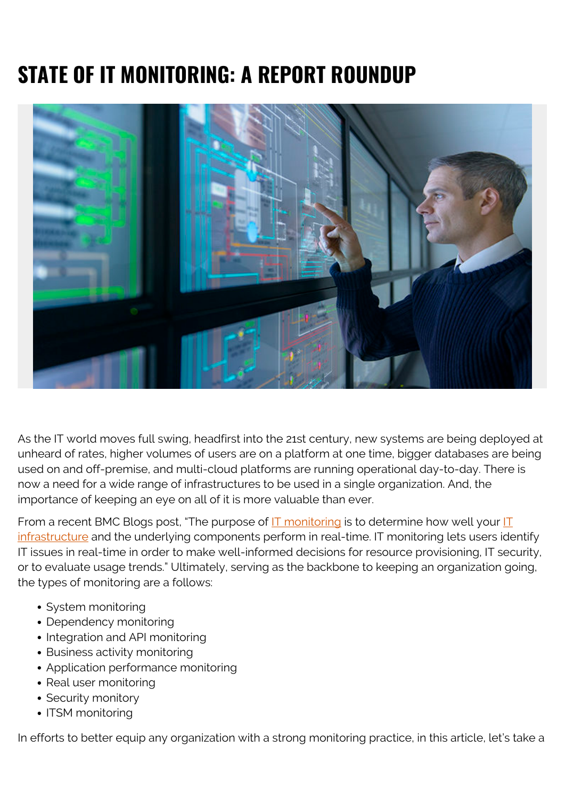# **STATE OF IT MONITORING: A REPORT ROUNDUP**



As the IT world moves full swing, headfirst into the 21st century, new systems are being deployed at unheard of rates, higher volumes of users are on a platform at one time, bigger databases are being used on and off-premise, and multi-cloud platforms are running operational day-to-day. There is now a need for a wide range of infrastructures to be used in a single organization. And, the importance of keeping an eye on all of it is more valuable than ever.

From a recent BMC Blogs post, "The purpose of  $IT$  monitoring is to determine how well your  $IT$ [infrastructure](https://blogs.bmc.com/blogs/what-is-it-infrastructure-and-what-are-its-components/) and the underlying components perform in real-time. IT monitoring lets users identify IT issues in real-time in order to make well-informed decisions for resource provisioning, IT security, or to evaluate usage trends." Ultimately, serving as the backbone to keeping an organization going, the types of monitoring are a follows:

- System monitoring
- Dependency monitoring
- Integration and API monitoring
- Business activity monitoring
- Application performance monitoring
- Real user monitoring
- Security monitory
- ITSM monitoring

In efforts to better equip any organization with a strong monitoring practice, in this article, let's take a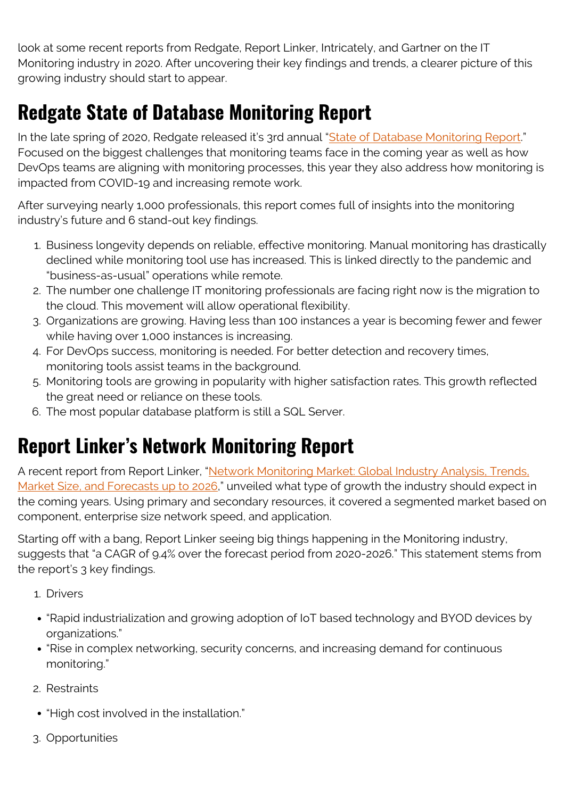look at some recent reports from Redgate, Report Linker, Intricately, and Gartner on the IT Monitoring industry in 2020. After uncovering their key findings and trends, a clearer picture of this growing industry should start to appear.

## **Redgate State of Database Monitoring Report**

In the late spring of 2020, Redgate released it's 3rd annual "[State of Database Monitoring Report.](https://www.red-gate.com/solutions/need/monitor/state-of-sql-server-monitoring)" Focused on the biggest challenges that monitoring teams face in the coming year as well as how DevOps teams are aligning with monitoring processes, this year they also address how monitoring is impacted from COVID-19 and increasing remote work.

After surveying nearly 1,000 professionals, this report comes full of insights into the monitoring industry's future and 6 stand-out key findings.

- 1. Business longevity depends on reliable, effective monitoring. Manual monitoring has drastically declined while monitoring tool use has increased. This is linked directly to the pandemic and "business-as-usual" operations while remote.
- 2. The number one challenge IT monitoring professionals are facing right now is the migration to the cloud. This movement will allow operational flexibility.
- 3. Organizations are growing. Having less than 100 instances a year is becoming fewer and fewer while having over 1,000 instances is increasing.
- 4. For DevOps success, monitoring is needed. For better detection and recovery times, monitoring tools assist teams in the background.
- 5. Monitoring tools are growing in popularity with higher satisfaction rates. This growth reflected the great need or reliance on these tools.
- 6. The most popular database platform is still a SQL Server.

### **Report Linker's Network Monitoring Report**

A recent report from Report Linker, "[Network Monitoring Market: Global Industry Analysis, Trends,](https://www.reportlinker.com/p05916538/Network-Monitoring-Market-Global-Industry-Analysis-Trends-Market-Size-and-Forecasts-up-to.html?utm_source=GNW) [Market Size, and Forecasts up to 2026](https://www.reportlinker.com/p05916538/Network-Monitoring-Market-Global-Industry-Analysis-Trends-Market-Size-and-Forecasts-up-to.html?utm_source=GNW)," unveiled what type of growth the industry should expect in the coming years. Using primary and secondary resources, it covered a segmented market based on component, enterprise size network speed, and application.

Starting off with a bang, Report Linker seeing big things happening in the Monitoring industry, suggests that "a CAGR of 9.4% over the forecast period from 2020-2026." This statement stems from the report's 3 key findings.

- 1. Drivers
- "Rapid industrialization and growing adoption of IoT based technology and BYOD devices by organizations."
- "Rise in complex networking, security concerns, and increasing demand for continuous monitoring."
- 2. Restraints
- "High cost involved in the installation."
- 3. Opportunities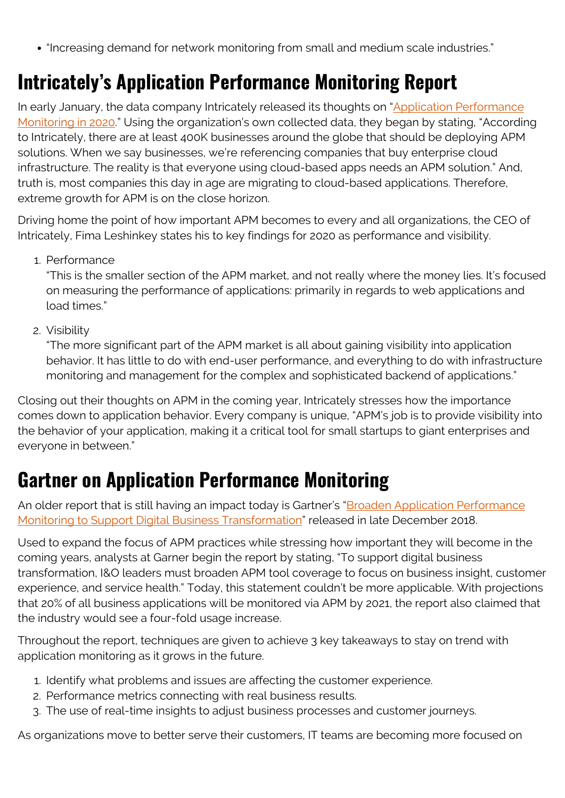"Increasing demand for network monitoring from small and medium scale industries."

### **Intricately's Application Performance Monitoring Report**

In early January, the data company Intricately released its thoughts on ["Application Performance](https://www.intricately.com/blog/what-is-application-performance-monitoring-in-2020) [Monitoring in 2020](https://www.intricately.com/blog/what-is-application-performance-monitoring-in-2020)." Using the organization's own collected data, they began by stating, "According to Intricately, there are at least 400K businesses around the globe that should be deploying APM solutions. When we say businesses, we're referencing companies that buy enterprise cloud infrastructure. The reality is that everyone using cloud-based apps needs an APM solution." And, truth is, most companies this day in age are migrating to cloud-based applications. Therefore, extreme growth for APM is on the close horizon.

Driving home the point of how important APM becomes to every and all organizations, the CEO of Intricately, Fima Leshinkey states his to key findings for 2020 as performance and visibility.

1. Performance

"This is the smaller section of the APM market, and not really where the money lies. It's focused on measuring the performance of applications: primarily in regards to web applications and load times."

2. Visibility

"The more significant part of the APM market is all about gaining visibility into application behavior. It has little to do with end-user performance, and everything to do with infrastructure monitoring and management for the complex and sophisticated backend of applications."

Closing out their thoughts on APM in the coming year, Intricately stresses how the importance comes down to application behavior. Every company is unique, "APM's job is to provide visibility into the behavior of your application, making it a critical tool for small startups to giant enterprises and everyone in between."

#### **Gartner on Application Performance Monitoring**

An older report that is still having an impact today is Gartner's ["Broaden Application Performance](https://www.gartner.com/en/documents/3896666) [Monitoring to Support Digital Business Transformation](https://www.gartner.com/en/documents/3896666)" released in late December 2018.

Used to expand the focus of APM practices while stressing how important they will become in the coming years, analysts at Garner begin the report by stating, "To support digital business transformation, I&O leaders must broaden APM tool coverage to focus on business insight, customer experience, and service health." Today, this statement couldn't be more applicable. With projections that 20% of all business applications will be monitored via APM by 2021, the report also claimed that the industry would see a four-fold usage increase.

Throughout the report, techniques are given to achieve 3 key takeaways to stay on trend with application monitoring as it grows in the future.

- 1. Identify what problems and issues are affecting the customer experience.
- 2. Performance metrics connecting with real business results.
- 3. The use of real-time insights to adjust business processes and customer journeys.

As organizations move to better serve their customers, IT teams are becoming more focused on